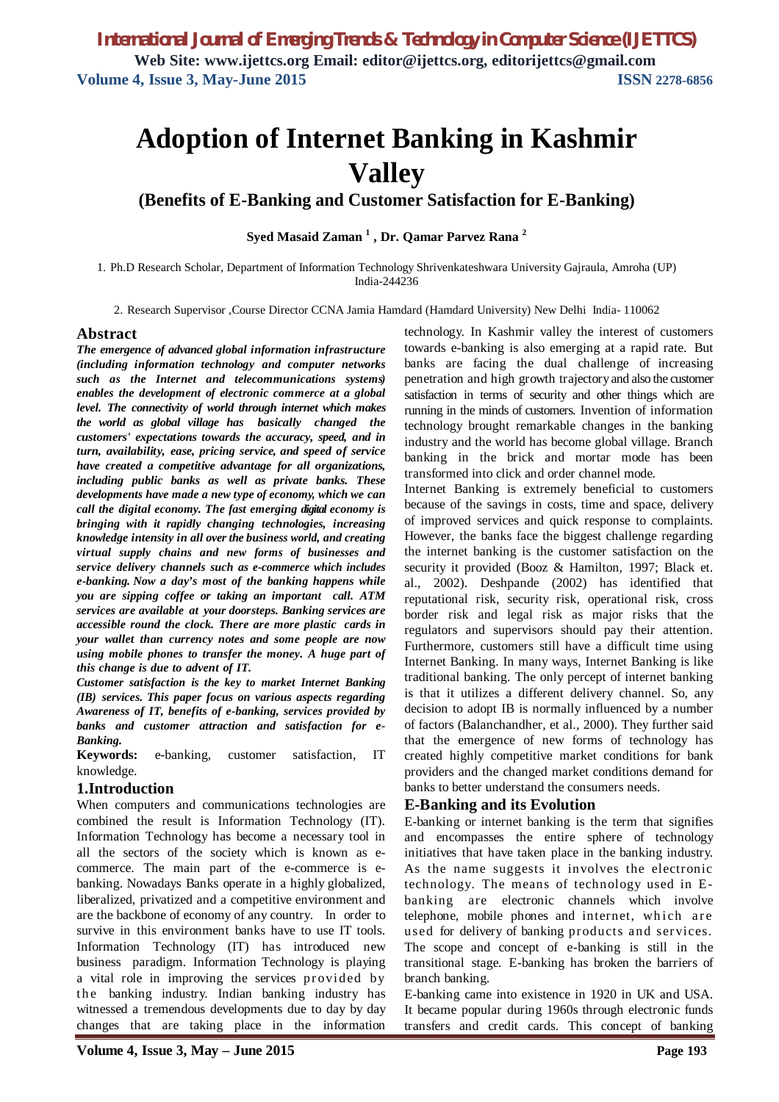# **Adoption of Internet Banking in Kashmir Valley**

# **(Benefits of E-Banking and Customer Satisfaction for E-Banking)**

**Syed Masaid Zaman <sup>1</sup> , Dr. Qamar Parvez Rana <sup>2</sup>**

1. Ph.D Research Scholar, Department of Information Technology Shrivenkateshwara University Gajraula, Amroha (UP) India-244236

2. Research Supervisor ,Course Director CCNA Jamia Hamdard (Hamdard University) New Delhi India- 110062

#### **Abstract**

*The emergence of advanced global information infrastructure (including information technology and computer networks such as the Internet and telecommunications systems) enables the development of electronic commerce at a global level. The connectivity of world through internet which makes the world as global village has basically changed the customers' expectations towards the accuracy, speed, and in turn, availability, ease, pricing service, and speed of service have created a competitive advantage for all organizations, including public banks as well as private banks. These developments have made a new type of economy, which we can call the digital economy. The fast emerging digital economy is bringing with it rapidly changing technologies, increasing knowledge intensity in all over the business world, and creating virtual supply chains and new forms of businesses and service delivery channels such as e-commerce which includes e-banking. Now a day's most of the banking happens while you are sipping coffee or taking an important call. ATM services are available at your doorsteps. Banking services are accessible round the clock. There are more plastic cards in your wallet than currency notes and some people are now using mobile phones to transfer the money. A huge part of this change is due to advent of IT.*

*Customer satisfaction is the key to market Internet Banking (IB) services. This paper focus on various aspects regarding Awareness of IT, benefits of e-banking, services provided by banks and customer attraction and satisfaction for e-Banking.*

**Keywords:** e-banking, customer satisfaction, IT knowledge.

#### **1.Introduction**

When computers and communications technologies are combined the result is Information Technology (IT). Information Technology has become a necessary tool in all the sectors of the society which is known as ecommerce. The main part of the e-commerce is ebanking. Nowadays Banks operate in a highly globalized, liberalized, privatized and a competitive environment and are the backbone of economy of any country. In order to survive in this environment banks have to use IT tools. Information Technology (IT) has introduced new business paradigm. Information Technology is playing a vital role in improving the services provided by the banking industry. Indian banking industry has witnessed a tremendous developments due to day by day changes that are taking place in the information

technology. In Kashmir valley the interest of customers towards e-banking is also emerging at a rapid rate. But banks are facing the dual challenge of increasing penetration and high growth trajectory and also the customer satisfaction in terms of security and other things which are running in the minds of customers. Invention of information technology brought remarkable changes in the banking industry and the world has become global village. Branch banking in the brick and mortar mode has been transformed into click and order channel mode.

Internet Banking is extremely beneficial to customers because of the savings in costs, time and space, delivery of improved services and quick response to complaints. However, the banks face the biggest challenge regarding the internet banking is the customer satisfaction on the security it provided (Booz & Hamilton, 1997; Black et. al., 2002). Deshpande (2002) has identified that reputational risk, security risk, operational risk, cross border risk and legal risk as major risks that the regulators and supervisors should pay their attention. Furthermore, customers still have a difficult time using Internet Banking. In many ways, Internet Banking is like traditional banking. The only percept of internet banking is that it utilizes a different delivery channel. So, any decision to adopt IB is normally influenced by a number of factors (Balanchandher, et al., 2000). They further said that the emergence of new forms of technology has created highly competitive market conditions for bank providers and the changed market conditions demand for banks to better understand the consumers needs.

#### **E-Banking and its Evolution**

E-banking or internet banking is the term that signifies and encompasses the entire sphere of technology initiatives that have taken place in the banking industry. As the name suggests it involves the electronic technology. The means of technology used in Ebanking are electronic channels which involve telephone, mobile phones and internet, which are used for delivery of banking products and services. The scope and concept of e-banking is still in the transitional stage. E-banking has broken the barriers of branch banking.

E-banking came into existence in 1920 in UK and USA. It became popular during 1960s through electronic funds transfers and credit cards. This concept of banking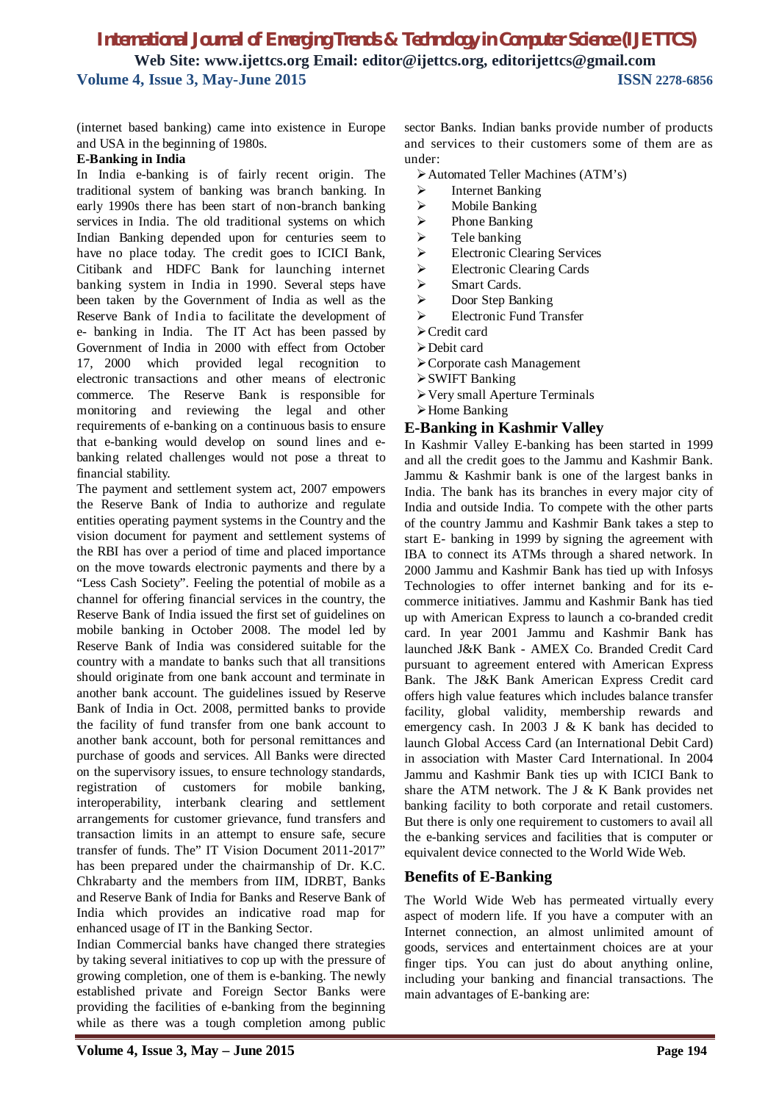(internet based banking) came into existence in Europe and USA in the beginning of 1980s.

#### **E-Banking in India**

In India e-banking is of fairly recent origin. The traditional system of banking was branch banking. In early 1990s there has been start of non-branch banking services in India. The old traditional systems on which Indian Banking depended upon for centuries seem to have no place today. The credit goes to ICICI Bank, Citibank and HDFC Bank for launching internet banking system in India in 1990. Several steps have been taken by the Government of India as well as the Reserve Bank of India to facilitate the development of e- banking in India. The IT Act has been passed by Government of India in 2000 with effect from October 17, 2000 which provided legal recognition electronic transactions and other means of electronic commerce. The Reserve Bank is responsible for monitoring and reviewing the legal and other requirements of e-banking on a continuous basis to ensure that e-banking would develop on sound lines and ebanking related challenges would not pose a threat to financial stability.

The payment and settlement system act, 2007 empowers the Reserve Bank of India to authorize and regulate entities operating payment systems in the Country and the vision document for payment and settlement systems of the RBI has over a period of time and placed importance on the move towards electronic payments and there by a "Less Cash Society". Feeling the potential of mobile as a channel for offering financial services in the country, the Reserve Bank of India issued the first set of guidelines on mobile banking in October 2008. The model led by Reserve Bank of India was considered suitable for the country with a mandate to banks such that all transitions should originate from one bank account and terminate in another bank account. The guidelines issued by Reserve Bank of India in Oct. 2008, permitted banks to provide the facility of fund transfer from one bank account to another bank account, both for personal remittances and purchase of goods and services. All Banks were directed on the supervisory issues, to ensure technology standards, registration of customers for mobile banking, interoperability, interbank clearing and settlement arrangements for customer grievance, fund transfers and transaction limits in an attempt to ensure safe, secure transfer of funds. The" IT Vision Document 2011-2017" has been prepared under the chairmanship of Dr. K.C. Chkrabarty and the members from IIM, IDRBT, Banks and Reserve Bank of India for Banks and Reserve Bank of India which provides an indicative road map for enhanced usage of IT in the Banking Sector.

Indian Commercial banks have changed there strategies by taking several initiatives to cop up with the pressure of growing completion, one of them is e-banking. The newly established private and Foreign Sector Banks were providing the facilities of e-banking from the beginning while as there was a tough completion among public sector Banks. Indian banks provide number of products and services to their customers some of them are as under:

- Automated Teller Machines (ATM's)
- $\triangleright$  Internet Banking
- > Mobile Banking
- $\triangleright$  Phone Banking
- $\triangleright$  Tele banking
- > Electronic Clearing Services
- Electronic Clearing Cards
- > Smart Cards.
- > Door Step Banking
- Electronic Fund Transfer
- Credit card
- Debit card
- Corporate cash Management
- SWIFT Banking
- Very small Aperture Terminals
- Home Banking

## **E-Banking in Kashmir Valley**

In Kashmir Valley E-banking has been started in 1999 and all the credit goes to the Jammu and Kashmir Bank. Jammu & Kashmir bank is one of the largest banks in India. The bank has its branches in every major city of India and outside India. To compete with the other parts of the country Jammu and Kashmir Bank takes a step to start E- banking in 1999 by signing the agreement with IBA to connect its ATMs through a shared network. In 2000 Jammu and Kashmir Bank has tied up with Infosys Technologies to offer internet banking and for its ecommerce initiatives. Jammu and Kashmir Bank has tied up with American Express to launch a co-branded credit card. In year 2001 Jammu and Kashmir Bank has launched J&K Bank - AMEX Co. Branded Credit Card pursuant to agreement entered with American Express Bank. The J&K Bank American Express Credit card offers high value features which includes balance transfer facility, global validity, membership rewards and emergency cash. In 2003 J & K bank has decided to launch Global Access Card (an International Debit Card) in association with Master Card International. In 2004 Jammu and Kashmir Bank ties up with ICICI Bank to share the ATM network. The J  $&$  K Bank provides net banking facility to both corporate and retail customers. But there is only one requirement to customers to avail all the e-banking services and facilities that is computer or equivalent device connected to the World Wide Web.

## **Benefits of E-Banking**

The World Wide Web has permeated virtually every aspect of modern life. If you have a computer with an Internet connection, an almost unlimited amount of goods, services and entertainment choices are at your finger tips. You can just do about anything online, including your banking and financial transactions. The main advantages of E-banking are: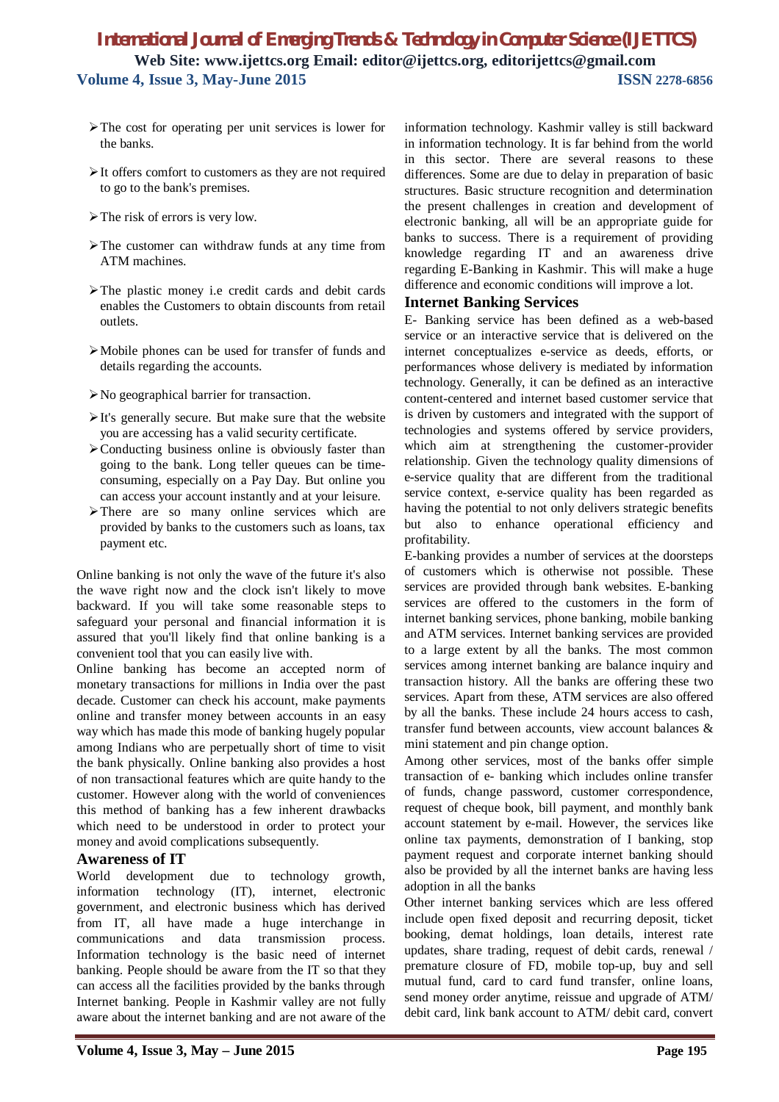- $\triangleright$  The cost for operating per unit services is lower for the banks.
- $\triangleright$  It offers comfort to customers as they are not required to go to the bank's premises.
- $\triangleright$  The risk of errors is very low.
- $\triangleright$  The customer can withdraw funds at any time from ATM machines.
- $\triangleright$  The plastic money i.e credit cards and debit cards enables the Customers to obtain discounts from retail outlets.
- Mobile phones can be used for transfer of funds and details regarding the accounts.
- No geographical barrier for transaction.
- $\triangleright$  It's generally secure. But make sure that the website you are accessing has a valid security certificate.
- $\geq$  Conducting business online is obviously faster than going to the bank. Long teller queues can be timeconsuming, especially on a Pay Day. But online you can access your account instantly and at your leisure.
- > There are so many online services which are provided by banks to the customers such as loans, tax payment etc.

Online banking is not only the wave of the future it's also the wave right now and the clock isn't likely to move backward. If you will take some reasonable steps to safeguard your personal and financial information it is assured that you'll likely find that online banking is a convenient tool that you can easily live with.

Online banking has become an accepted norm of monetary transactions for millions in India over the past decade. Customer can check his account, make payments online and transfer money between accounts in an easy way which has made this mode of banking hugely popular among Indians who are perpetually short of time to visit the bank physically. Online banking also provides a host of non transactional features which are quite handy to the customer. However along with the world of conveniences this method of banking has a few inherent drawbacks which need to be understood in order to protect your money and avoid complications subsequently.

#### **Awareness of IT**

World development due to technology growth, information technology (IT), internet, electronic government, and electronic business which has derived from IT, all have made a huge interchange in communications and data transmission process. Information technology is the basic need of internet banking. People should be aware from the IT so that they can access all the facilities provided by the banks through Internet banking. People in Kashmir valley are not fully aware about the internet banking and are not aware of the information technology. Kashmir valley is still backward in information technology. It is far behind from the world in this sector. There are several reasons to these differences. Some are due to delay in preparation of basic structures. Basic structure recognition and determination the present challenges in creation and development of electronic banking, all will be an appropriate guide for banks to success. There is a requirement of providing knowledge regarding IT and an awareness drive regarding E-Banking in Kashmir. This will make a huge difference and economic conditions will improve a lot.

## **Internet Banking Services**

E- Banking service has been defined as a web-based service or an interactive service that is delivered on the internet conceptualizes e-service as deeds, efforts, or performances whose delivery is mediated by information technology. Generally, it can be defined as an interactive content-centered and internet based customer service that is driven by customers and integrated with the support of technologies and systems offered by service providers, which aim at strengthening the customer-provider relationship. Given the technology quality dimensions of e-service quality that are different from the traditional service context, e-service quality has been regarded as having the potential to not only delivers strategic benefits but also to enhance operational efficiency and profitability.

E-banking provides a number of services at the doorsteps of customers which is otherwise not possible. These services are provided through bank websites. E-banking services are offered to the customers in the form of internet banking services, phone banking, mobile banking and ATM services. Internet banking services are provided to a large extent by all the banks. The most common services among internet banking are balance inquiry and transaction history. All the banks are offering these two services. Apart from these, ATM services are also offered by all the banks. These include 24 hours access to cash, transfer fund between accounts, view account balances & mini statement and pin change option.

Among other services, most of the banks offer simple transaction of e- banking which includes online transfer of funds, change password, customer correspondence, request of cheque book, bill payment, and monthly bank account statement by e-mail. However, the services like online tax payments, demonstration of I banking, stop payment request and corporate internet banking should also be provided by all the internet banks are having less adoption in all the banks

Other internet banking services which are less offered include open fixed deposit and recurring deposit, ticket booking, demat holdings, loan details, interest rate updates, share trading, request of debit cards, renewal / premature closure of FD, mobile top-up, buy and sell mutual fund, card to card fund transfer, online loans, send money order anytime, reissue and upgrade of ATM/ debit card, link bank account to ATM/ debit card, convert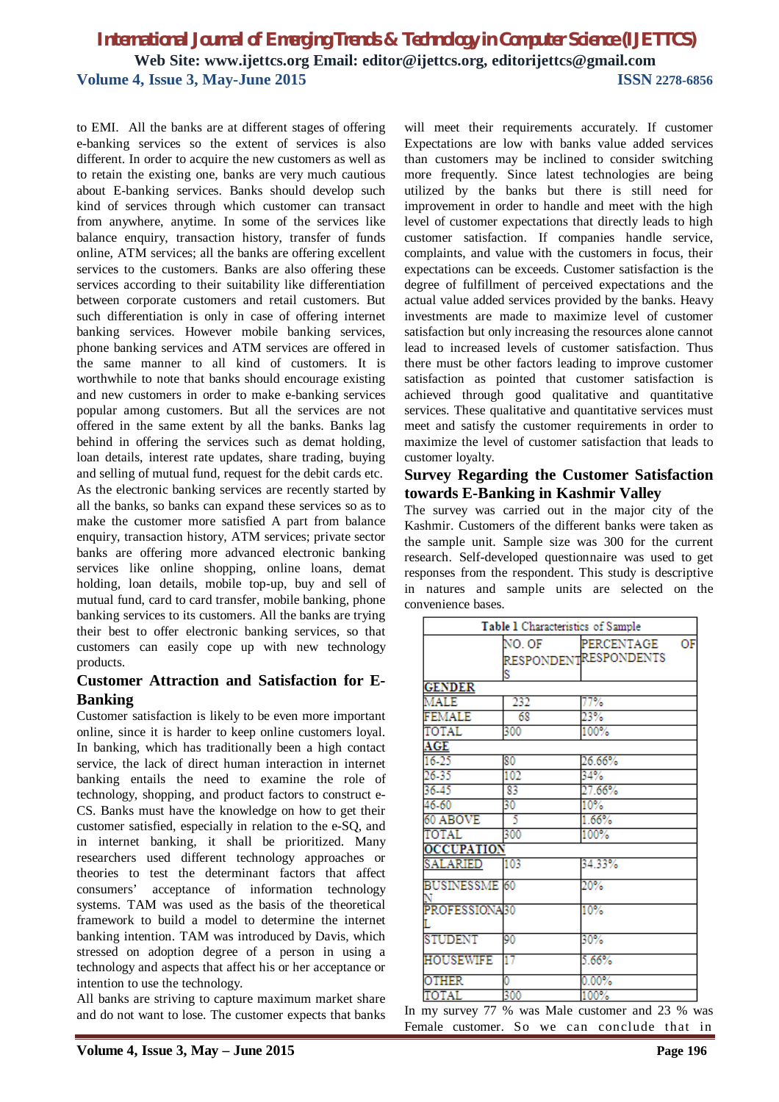to EMI. All the banks are at different stages of offering e-banking services so the extent of services is also different. In order to acquire the new customers as well as to retain the existing one, banks are very much cautious about E-banking services. Banks should develop such kind of services through which customer can transact from anywhere, anytime. In some of the services like balance enquiry, transaction history, transfer of funds online, ATM services; all the banks are offering excellent services to the customers. Banks are also offering these services according to their suitability like differentiation between corporate customers and retail customers. But such differentiation is only in case of offering internet banking services. However mobile banking services, phone banking services and ATM services are offered in the same manner to all kind of customers. It is worthwhile to note that banks should encourage existing and new customers in order to make e-banking services popular among customers. But all the services are not offered in the same extent by all the banks. Banks lag behind in offering the services such as demat holding, loan details, interest rate updates, share trading, buying and selling of mutual fund, request for the debit cards etc. As the electronic banking services are recently started by all the banks, so banks can expand these services so as to make the customer more satisfied A part from balance enquiry, transaction history, ATM services; private sector banks are offering more advanced electronic banking services like online shopping, online loans, demat holding, loan details, mobile top-up, buy and sell of mutual fund, card to card transfer, mobile banking, phone banking services to its customers. All the banks are trying their best to offer electronic banking services, so that customers can easily cope up with new technology products.

## **Customer Attraction and Satisfaction for E-Banking**

Customer satisfaction is likely to be even more important online, since it is harder to keep online customers loyal. In banking, which has traditionally been a high contact service, the lack of direct human interaction in internet banking entails the need to examine the role of technology, shopping, and product factors to construct e-CS. Banks must have the knowledge on how to get their customer satisfied, especially in relation to the e-SQ, and in internet banking, it shall be prioritized. Many researchers used different technology approaches or theories to test the determinant factors that affect consumers' acceptance of information technology systems. TAM was used as the basis of the theoretical framework to build a model to determine the internet banking intention. TAM was introduced by Davis, which stressed on adoption degree of a person in using a technology and aspects that affect his or her acceptance or intention to use the technology.

All banks are striving to capture maximum market share and do not want to lose. The customer expects that banks will meet their requirements accurately. If customer Expectations are low with banks value added services than customers may be inclined to consider switching more frequently. Since latest technologies are being utilized by the banks but there is still need for improvement in order to handle and meet with the high level of customer expectations that directly leads to high customer satisfaction. If companies handle service, complaints, and value with the customers in focus, their expectations can be exceeds. Customer satisfaction is the degree of fulfillment of perceived expectations and the actual value added services provided by the banks. Heavy investments are made to maximize level of customer satisfaction but only increasing the resources alone cannot lead to increased levels of customer satisfaction. Thus there must be other factors leading to improve customer satisfaction as pointed that customer satisfaction is achieved through good qualitative and quantitative services. These qualitative and quantitative services must meet and satisfy the customer requirements in order to maximize the level of customer satisfaction that leads to customer loyalty.

## **Survey Regarding the Customer Satisfaction towards E-Banking in Kashmir Valley**

The survey was carried out in the major city of the Kashmir. Customers of the different banks were taken as the sample unit. Sample size was 300 for the current research. Self-developed questionnaire was used to get responses from the respondent. This study is descriptive in natures and sample units are selected on the convenience bases.

| Table 1 Characteristics of Sample |             |                                     |    |
|-----------------------------------|-------------|-------------------------------------|----|
|                                   | NO. OF<br>S | PERCENTAGE<br>RESPONDENTRESPONDENTS | ΟF |
| <b>GENDER</b>                     |             |                                     |    |
| MALE                              | 232         | 77%                                 |    |
| FEMALE                            | 68          | 23%                                 |    |
| TOTAL                             | 300         | 100%                                |    |
| AGE                               |             |                                     |    |
| 16-25                             | 80          | 26.66%                              |    |
| 26-35                             | 102         | 34%                                 |    |
| 36.45                             | 83          | 27.66%                              |    |
| 46-60                             | 30          | 10%                                 |    |
| 60 ABOVE                          | 5           | 1.66%                               |    |
| TOTAL                             | 300         | 100%                                |    |
| <b>OCCUPATION</b>                 |             |                                     |    |
| SALARIED                          | 103         | 34.33%                              |    |
| <b>BUSINESSME</b> 60              |             | 20%                                 |    |
| PROFESSIONA30                     |             | 10%                                 |    |
| <b>STUDENT</b>                    | 90          | 30%                                 |    |
| HOUSEWIFE                         | 17          | 5.66%                               |    |
| <b>OTHER</b>                      | ٥           | $0.00\%$                            |    |
| <b>OTAL</b>                       | 300         | 100%                                |    |

In my survey 77 % was Male customer and 23 % was Female customer. So we can conclude that in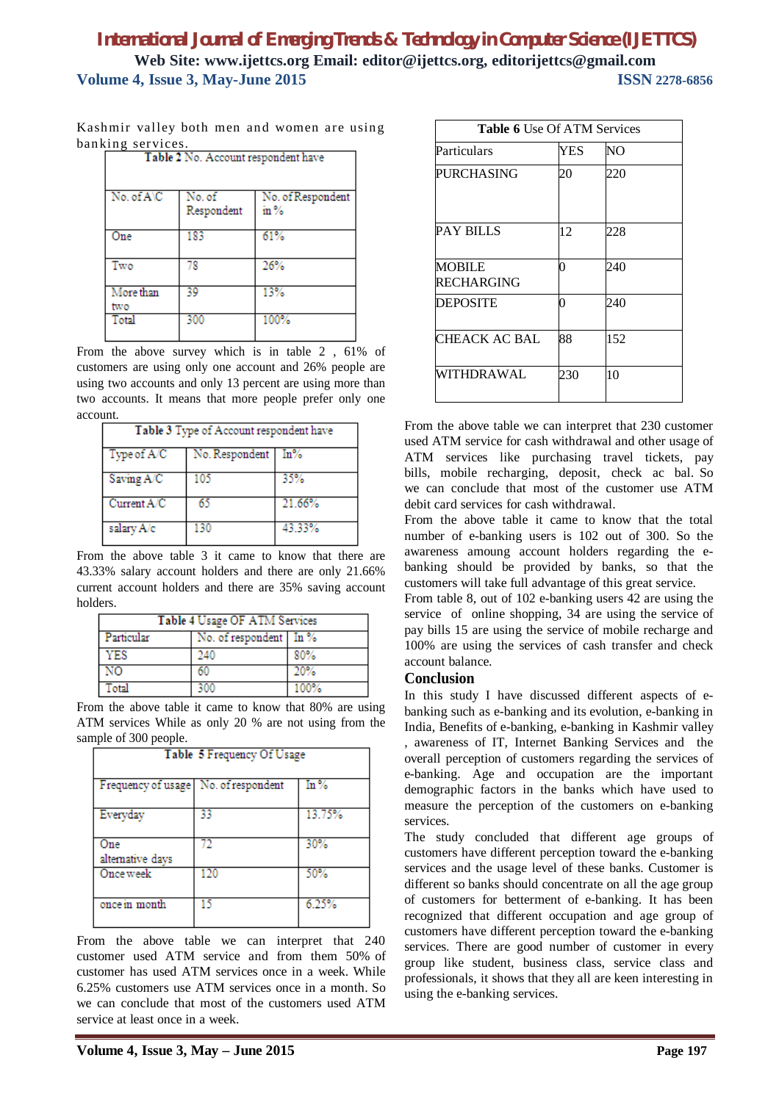| Kashmir valley both men and women are using |  |  |  |  |
|---------------------------------------------|--|--|--|--|
| banking services.                           |  |  |  |  |

| Table 2 No. Account respondent have |                      |                                  |  |
|-------------------------------------|----------------------|----------------------------------|--|
| No. of A\C                          | No. of<br>Respondent | No. of Respondent<br>$\rm in \%$ |  |
| One                                 | 183                  | 61%                              |  |
| Two                                 | 78                   | 26%                              |  |
| More than<br>two                    | 39                   | 13%                              |  |
| Total                               | 300                  | 100%                             |  |

From the above survey which is in table 2 , 61% of customers are using only one account and 26% people are using two accounts and only 13 percent are using more than two accounts. It means that more people prefer only one account.

| Table 3 Type of Account respondent have |                |         |  |
|-----------------------------------------|----------------|---------|--|
| Type of A/C                             | No. Respondent | $\ln\%$ |  |
| Saving A/C                              | 105            | 35%     |  |
| Current A/C                             | 65             | 21.66%  |  |
| salary A/c                              | 130            | 43 33%  |  |

From the above table 3 it came to know that there are 43.33% salary account holders and there are only 21.66% current account holders and there are 35% saving account holders.

| Table 4 Usage OF ATM Services |                        |      |  |
|-------------------------------|------------------------|------|--|
| Particular                    | No. of respondent In % |      |  |
| YES                           | 240                    | 80%  |  |
| NO.                           | 60                     | 20%  |  |
| Total                         | 300                    | 100% |  |

From the above table it came to know that 80% are using ATM services While as only 20 % are not using from the sample of 300 people.

| Table 5 Frequency Of Usage           |     |         |  |
|--------------------------------------|-----|---------|--|
| Frequency of usage No. of respondent |     | $\ln\%$ |  |
| Everyday                             | 33  | 13.75%  |  |
| One<br>alternative days              | 72  | 30%     |  |
| Once week                            | 120 | 50%     |  |
| once in month                        | 15  | 6.25%   |  |

From the above table we can interpret that 240 customer used ATM service and from them 50% of customer has used ATM services once in a week. While 6.25% customers use ATM services once in a month. So we can conclude that most of the customers used ATM service at least once in a week.

| <b>Table 6 Use Of ATM Services</b> |     |     |  |
|------------------------------------|-----|-----|--|
| Particulars                        | YES | NO  |  |
| PURCHASING                         | 20  | 220 |  |
| PAY BILLS                          | 12  | 228 |  |
| <b>MOBILE</b><br>RECHARGING        | 0   | 240 |  |
| <b>DEPOSITE</b>                    | 0   | 240 |  |
| CHEACK AC BAL                      | 88  | 152 |  |
| WITHDRAWAL                         | 230 | 10  |  |

From the above table we can interpret that 230 customer used ATM service for cash withdrawal and other usage of ATM services like purchasing travel tickets, pay bills, mobile recharging, deposit, check ac bal. So we can conclude that most of the customer use ATM debit card services for cash withdrawal.

From the above table it came to know that the total number of e-banking users is 102 out of 300. So the awareness amoung account holders regarding the ebanking should be provided by banks, so that the customers will take full advantage of this great service.

From table 8, out of 102 e-banking users 42 are using the service of online shopping, 34 are using the service of pay bills 15 are using the service of mobile recharge and 100% are using the services of cash transfer and check account balance.

#### **Conclusion**

In this study I have discussed different aspects of ebanking such as e-banking and its evolution, e-banking in India, Benefits of e-banking, e-banking in Kashmir valley , awareness of IT, Internet Banking Services and the overall perception of customers regarding the services of e-banking. Age and occupation are the important demographic factors in the banks which have used to measure the perception of the customers on e-banking services.

The study concluded that different age groups of customers have different perception toward the e-banking services and the usage level of these banks. Customer is different so banks should concentrate on all the age group of customers for betterment of e-banking. It has been recognized that different occupation and age group of customers have different perception toward the e-banking services. There are good number of customer in every group like student, business class, service class and professionals, it shows that they all are keen interesting in using the e-banking services.